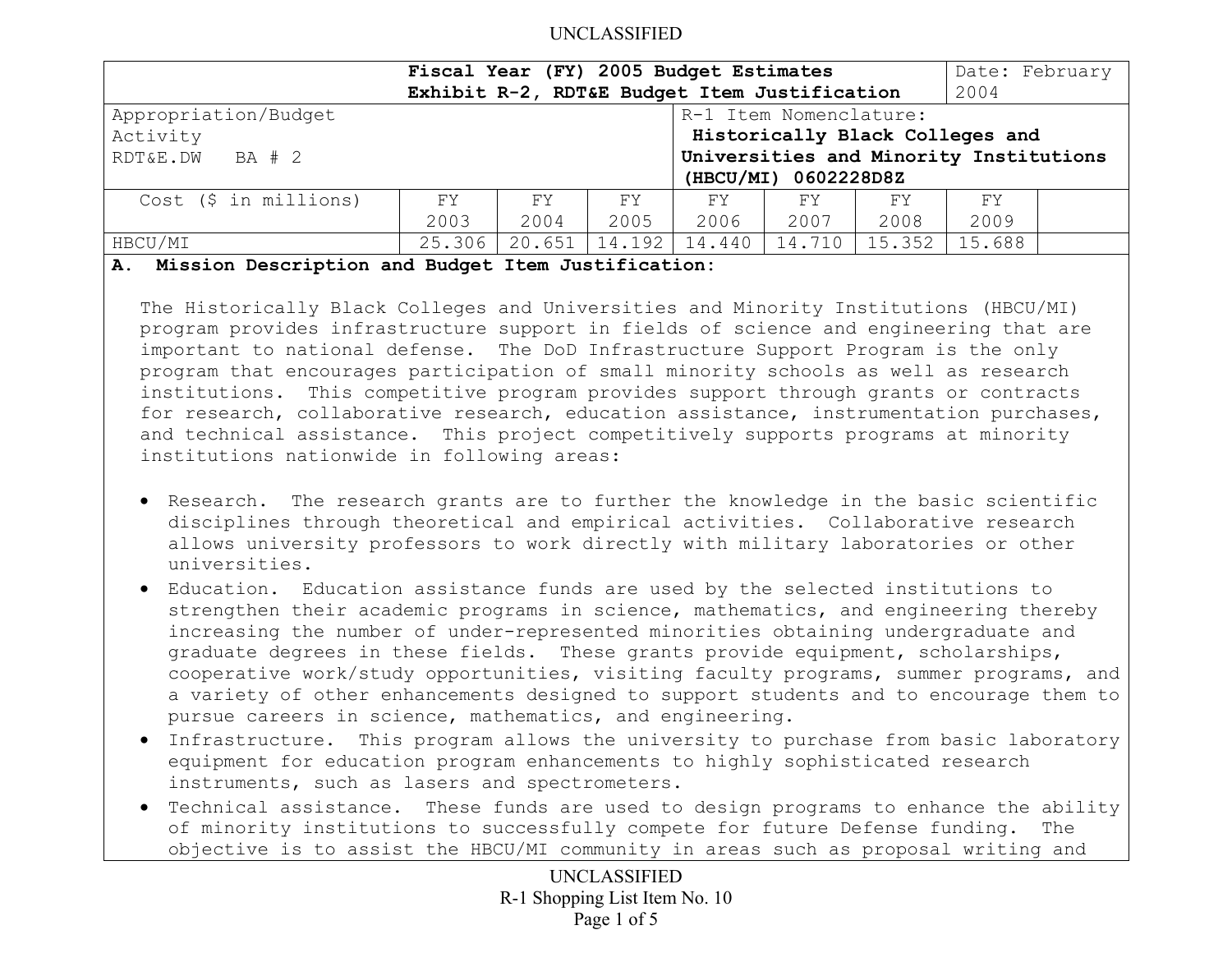|                                                     | Fiscal Year (FY) 2005 Budget Estimates<br>Exhibit R-2, RDT&E Budget Item Justification                                      |             |             |             |             |             |            | Date: February |
|-----------------------------------------------------|-----------------------------------------------------------------------------------------------------------------------------|-------------|-------------|-------------|-------------|-------------|------------|----------------|
| Appropriation/Budget<br>Activity<br>RDT&E.DW BA # 2 | R-1 Item Nomenclature:<br>Historically Black Colleges and<br>Universities and Minority Institutions<br>(HBCU/MI) 0602228D8Z |             |             |             |             |             |            |                |
| Cost (\$ in millions)                               | FY.<br>2003                                                                                                                 | FY.<br>2004 | FY.<br>2005 | FY.<br>2006 | FY.<br>2007 | FY.<br>2008 | FY<br>2009 |                |
| HBCU/MI                                             | 25.306                                                                                                                      | 20.651      | 14.192      | 14.440      | 14.710      | 15.352      | 15.688     |                |

### **A. Mission Description and Budget Item Justification:**

The Historically Black Colleges and Universities and Minority Institutions (HBCU/MI) program provides infrastructure support in fields of science and engineering that are important to national defense. The DoD Infrastructure Support Program is the only program that encourages participation of small minority schools as well as research institutions. This competitive program provides support through grants or contracts for research, collaborative research, education assistance, instrumentation purchases, and technical assistance. This project competitively supports programs at minority institutions nationwide in following areas:

- Research. The research grants are to further the knowledge in the basic scientific disciplines through theoretical and empirical activities. Collaborative research allows university professors to work directly with military laboratories or other universities.
- Education. Education assistance funds are used by the selected institutions to strengthen their academic programs in science, mathematics, and engineering thereby increasing the number of under-represented minorities obtaining undergraduate and graduate degrees in these fields. These grants provide equipment, scholarships, cooperative work/study opportunities, visiting faculty programs, summer programs, and a variety of other enhancements designed to support students and to encourage them to pursue careers in science, mathematics, and engineering.
- Infrastructure. This program allows the university to purchase from basic laboratory equipment for education program enhancements to highly sophisticated research instruments, such as lasers and spectrometers.
- Technical assistance. These funds are used to design programs to enhance the ability  $\mid$ of minority institutions to successfully compete for future Defense funding. The objective is to assist the HBCU/MI community in areas such as proposal writing and

UNCLASSIFIED R-1 Shopping List Item No. 10 Page 1 of 5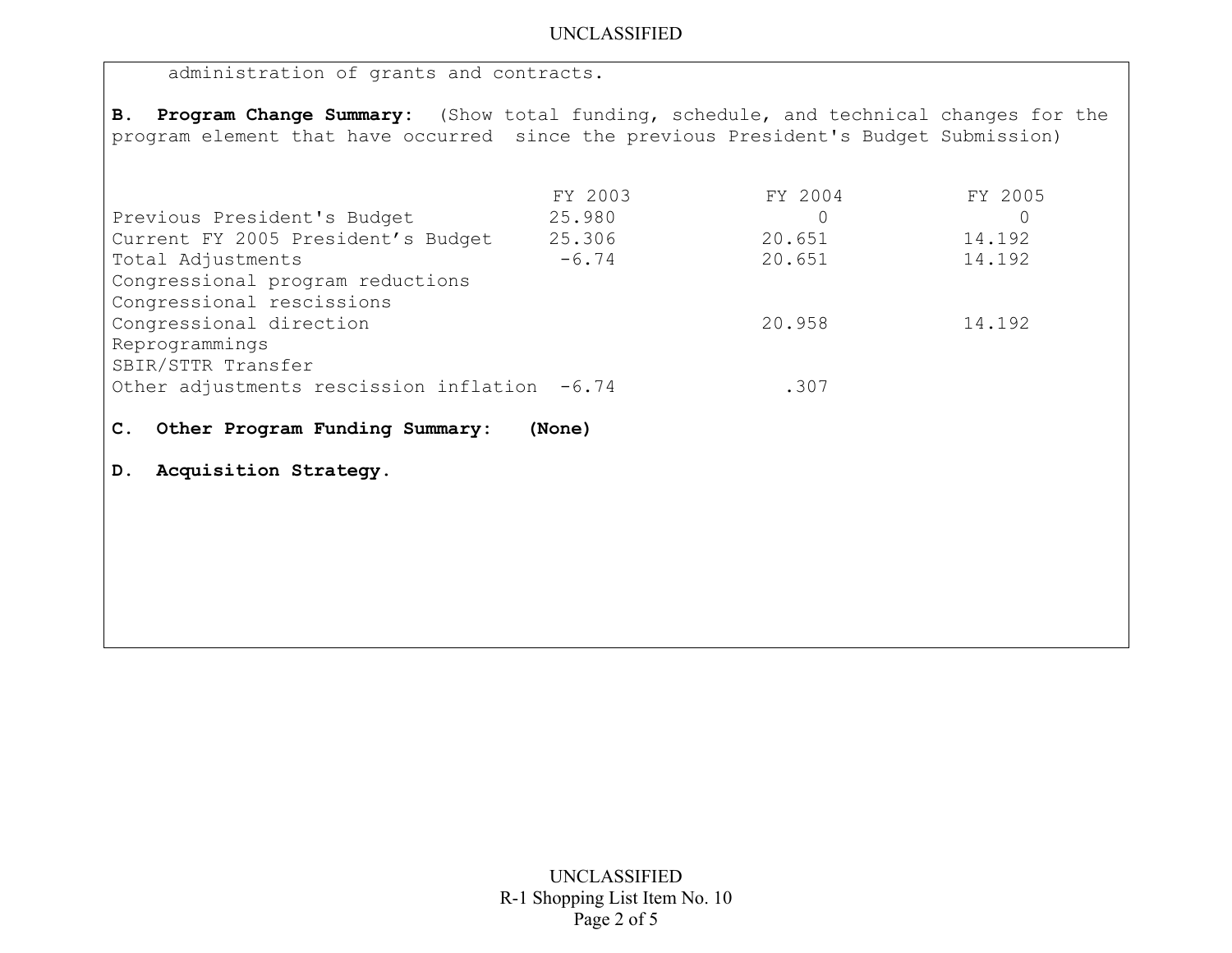administration of grants and contracts.

**B. Program Change Summary:** (Show total funding, schedule, and technical changes for the program element that have occurred since the previous President's Budget Submission)

|                                        | FY 2003 | FY 2004 | FY 2005 |
|----------------------------------------|---------|---------|---------|
| Previous President's Budget            | 25.980  |         |         |
| Current FY 2005 President's Budget     | 25.306  | 20.651  | 14.192  |
| Total Adjustments                      | $-6.74$ | 20.651  | 14.192  |
| Congressional program reductions       |         |         |         |
| Congressional rescissions              |         |         |         |
| Congressional direction                |         | 20.958  | 14.192  |
| Reprogrammings                         |         |         |         |
| SBIR/STTR Transfer                     |         |         |         |
| Other adjustments rescission inflation | $-6.74$ | .307    |         |

- **C. Other Program Funding Summary: (None)**
- **D. Acquisition Strategy.**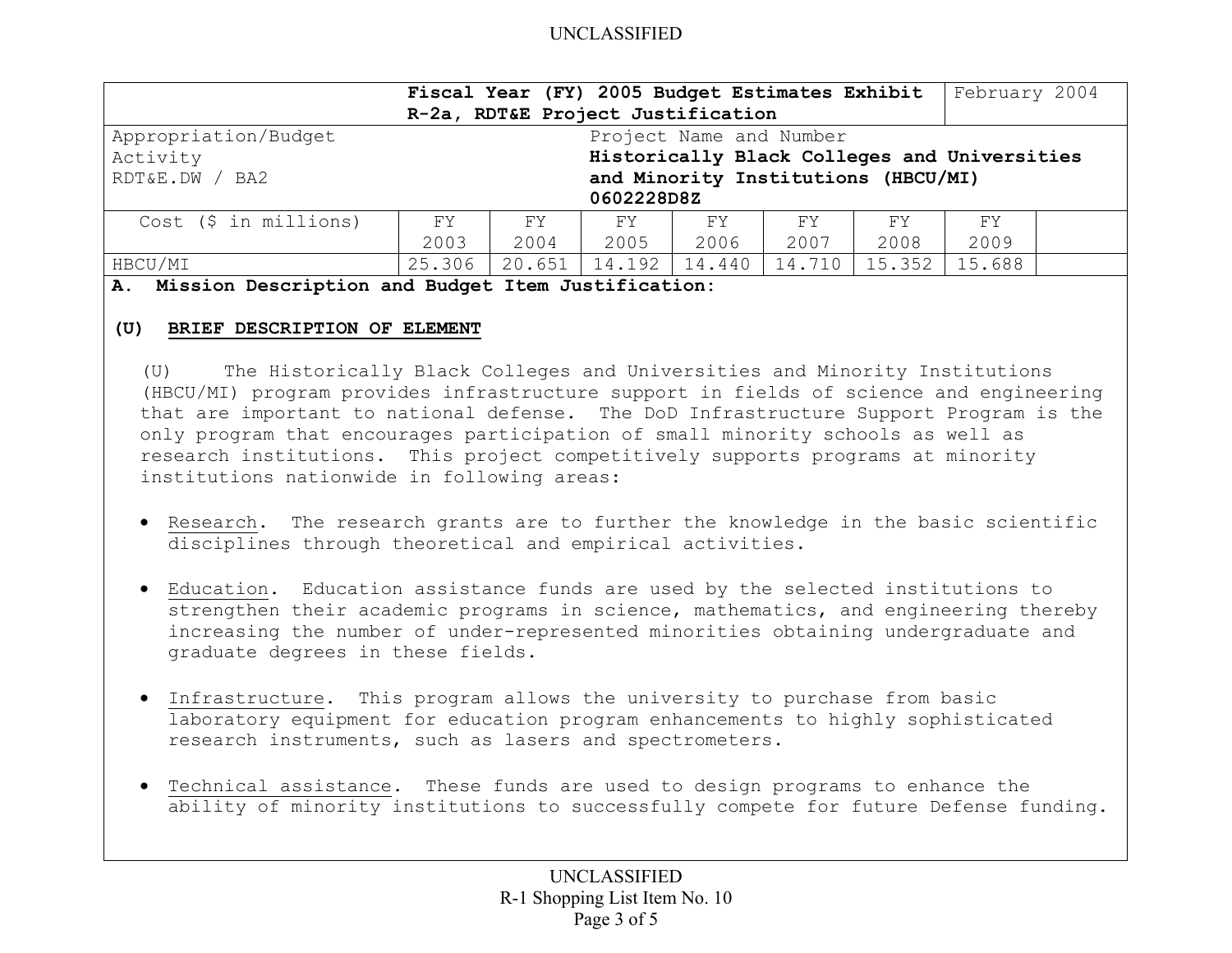|                                                 |                                              | Fiscal Year (FY) 2005 Budget Estimates Exhibit |        |        |        |        | February 2004 |  |
|-------------------------------------------------|----------------------------------------------|------------------------------------------------|--------|--------|--------|--------|---------------|--|
| R-2a, RDT&E Project Justification               |                                              |                                                |        |        |        |        |               |  |
| Appropriation/Budget<br>Project Name and Number |                                              |                                                |        |        |        |        |               |  |
| Activity                                        | Historically Black Colleges and Universities |                                                |        |        |        |        |               |  |
| RDT&E.DW / BA2                                  | and Minority Institutions (HBCU/MI)          |                                                |        |        |        |        |               |  |
|                                                 | 0602228D8Z                                   |                                                |        |        |        |        |               |  |
| $Cost$ (\$ in millions)                         | FY.                                          | FY.                                            | FY     | FY     | FY     | FY.    | FY            |  |
|                                                 | 2003                                         | 2004                                           | 2005   | 2006   | 2007   | 2008   | 2009          |  |
| HBCU/MI                                         | 25.306                                       | 20.651                                         | 14.192 | 14.440 | 14.710 | 15.352 | 15.688        |  |

**A. Mission Description and Budget Item Justification:** 

## **(U) BRIEF DESCRIPTION OF ELEMENT**

(U) The Historically Black Colleges and Universities and Minority Institutions (HBCU/MI) program provides infrastructure support in fields of science and engineering that are important to national defense. The DoD Infrastructure Support Program is the only program that encourages participation of small minority schools as well as research institutions. This project competitively supports programs at minority institutions nationwide in following areas:

- Research. The research grants are to further the knowledge in the basic scientific disciplines through theoretical and empirical activities.
- Education. Education assistance funds are used by the selected institutions to strengthen their academic programs in science, mathematics, and engineering thereby increasing the number of under-represented minorities obtaining undergraduate and graduate degrees in these fields.
- Infrastructure. This program allows the university to purchase from basic laboratory equipment for education program enhancements to highly sophisticated research instruments, such as lasers and spectrometers.
- Technical assistance. These funds are used to design programs to enhance the ability of minority institutions to successfully compete for future Defense funding.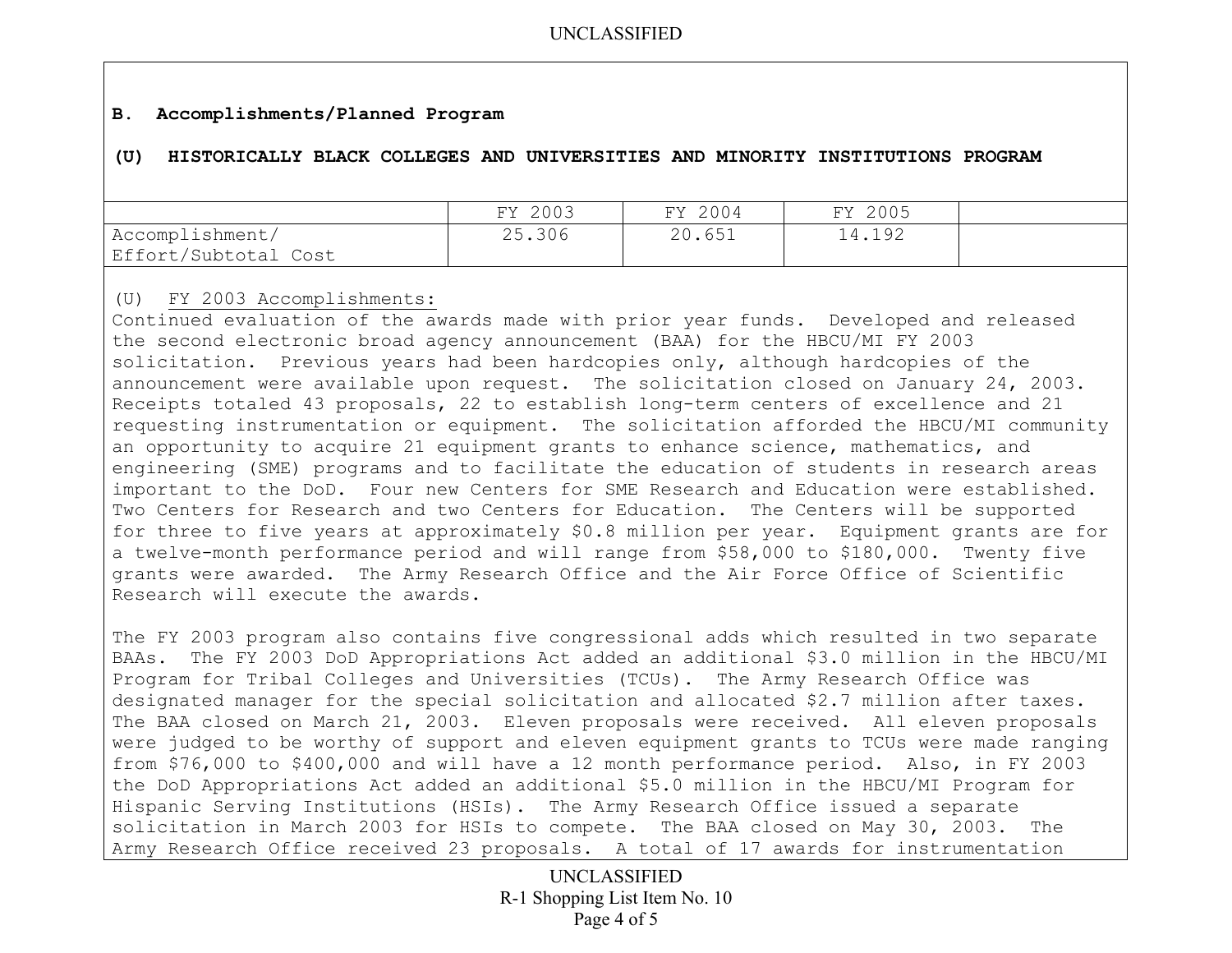## **B. Accomplishments/Planned Program**

### **(U) HISTORICALLY BLACK COLLEGES AND UNIVERSITIES AND MINORITY INSTITUTIONS PROGRAM**

|                      | FY 2003 | FY 2004 | FY 2005 |  |
|----------------------|---------|---------|---------|--|
| Accomplishment/      | 25.306  | 20.651  | 14.192  |  |
| Effort/Subtotal Cost |         |         |         |  |

### (U) FY 2003 Accomplishments:

Continued evaluation of the awards made with prior year funds. Developed and released the second electronic broad agency announcement (BAA) for the HBCU/MI FY 2003 solicitation. Previous years had been hardcopies only, although hardcopies of the announcement were available upon request. The solicitation closed on January 24, 2003. Receipts totaled 43 proposals, 22 to establish long-term centers of excellence and 21 requesting instrumentation or equipment. The solicitation afforded the HBCU/MI community an opportunity to acquire 21 equipment grants to enhance science, mathematics, and engineering (SME) programs and to facilitate the education of students in research areas important to the DoD. Four new Centers for SME Research and Education were established. Two Centers for Research and two Centers for Education. The Centers will be supported for three to five years at approximately \$0.8 million per year. Equipment grants are for a twelve-month performance period and will range from \$58,000 to \$180,000. Twenty five grants were awarded. The Army Research Office and the Air Force Office of Scientific Research will execute the awards.

The FY 2003 program also contains five congressional adds which resulted in two separate BAAs. The FY 2003 DoD Appropriations Act added an additional \$3.0 million in the HBCU/MI Program for Tribal Colleges and Universities (TCUs). The Army Research Office was designated manager for the special solicitation and allocated \$2.7 million after taxes. The BAA closed on March 21, 2003. Eleven proposals were received. All eleven proposals were judged to be worthy of support and eleven equipment grants to TCUs were made ranging from \$76,000 to \$400,000 and will have a 12 month performance period. Also, in FY 2003 the DoD Appropriations Act added an additional \$5.0 million in the HBCU/MI Program for Hispanic Serving Institutions (HSIs). The Army Research Office issued a separate solicitation in March 2003 for HSIs to compete. The BAA closed on May 30, 2003. The Army Research Office received 23 proposals. A total of 17 awards for instrumentation

> UNCLASSIFIED R-1 Shopping List Item No. 10 Page 4 of 5